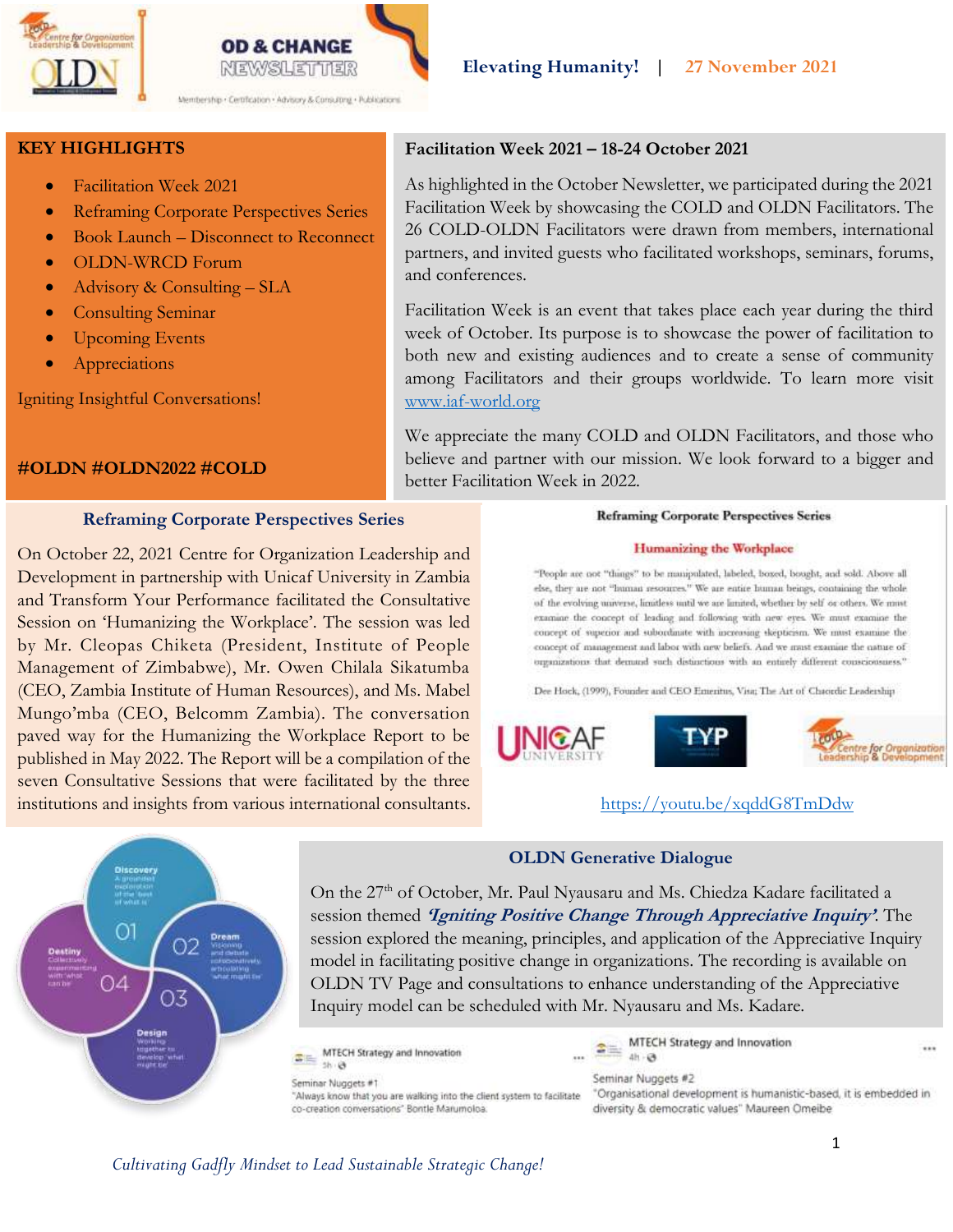



**KEY HIGHLIGHTS**

- Facilitation Week 2021
- Reframing Corporate Perspectives Series
- Book Launch Disconnect to Reconnect
- OLDN-WRCD Forum
- Advisory & Consulting SLA
- Consulting Seminar
- Upcoming Events
- Appreciations

Igniting Insightful Conversations!

## **#OLDN #OLDN2022 #COLD**

## **Reframing Corporate Perspectives Series**

On October 22, 2021 Centre for Organization Leadership and Development in partnership with Unicaf University in Zambia and Transform Your Performance facilitated the Consultative Session on 'Humanizing the Workplace'. The session was led by Mr. Cleopas Chiketa (President, Institute of People Management of Zimbabwe), Mr. Owen Chilala Sikatumba (CEO, Zambia Institute of Human Resources), and Ms. Mabel Mungo'mba (CEO, Belcomm Zambia). The conversation paved way for the Humanizing the Workplace Report to be published in May 2022. The Report will be a compilation of the seven Consultative Sessions that were facilitated by the three institutions and insights from various international consultants. <https://youtu.be/xqddG8TmDdw>

## **Facilitation Week 2021 – 18-24 October 2021**

As highlighted in the October Newsletter, we participated during the 2021 Facilitation Week by showcasing the COLD and OLDN Facilitators. The 26 COLD-OLDN Facilitators were drawn from members, international partners, and invited guests who facilitated workshops, seminars, forums, and conferences.

Facilitation Week is an event that takes place each year during the third week of October. Its purpose is to showcase the power of facilitation to both new and existing audiences and to create a sense of community among Facilitators and their groups worldwide. To learn more visit [www.iaf-world.org](http://www.iaf-world.org/)

We appreciate the many COLD and OLDN Facilitators, and those who believe and partner with our mission. We look forward to a bigger and better Facilitation Week in 2022.

#### **Reframing Corporate Perspectives Series**

#### Humanizing the Workplace

"People are not "things" to be manipulated, labeled, boxed, bought, and sold. Above all else, they are not "human resources." We are entire human beings, containing the whole of the evolving universe, limitless until we are limited, whether by self or others. We must examine the concept of leading and following with new eyes. We must examine the concept of superior and subordinate with increasing skepticism. We must examine the concept of management and labor with new beliefs. And we must examine the nature of organizations that demand such distinctions with an entirely different consciousness."

Dee Hock, (1999), Founder and CEO Emeritus, Visa; The Art of Chaordic Leadership







## **OLDN Generative Dialogue**

On the 27<sup>th</sup> of October, Mr. Paul Nyausaru and Ms. Chiedza Kadare facilitated a session themed **'Igniting Positive Change Through Appreciative Inquiry'**. The session explored the meaning, principles, and application of the Appreciative Inquiry model in facilitating positive change in organizations. The recording is available on OLDN TV Page and consultations to enhance understanding of the Appreciative Inquiry model can be scheduled with Mr. Nyausaru and Ms. Kadare.

MTECH Strategy and Innovation  $\frac{1}{\frac{1}{2}}$  MTEC

MTECH Strategy and Innovation  $2 4h$   $\Theta$ 

Seminar Nuggets #2 "Organisational development is humanistic-based, it is embedded in diversity & democratic values" Maureen Omeibe



*Cultivating Gadfly Mindset to Lead Sustainable Strategic Change!*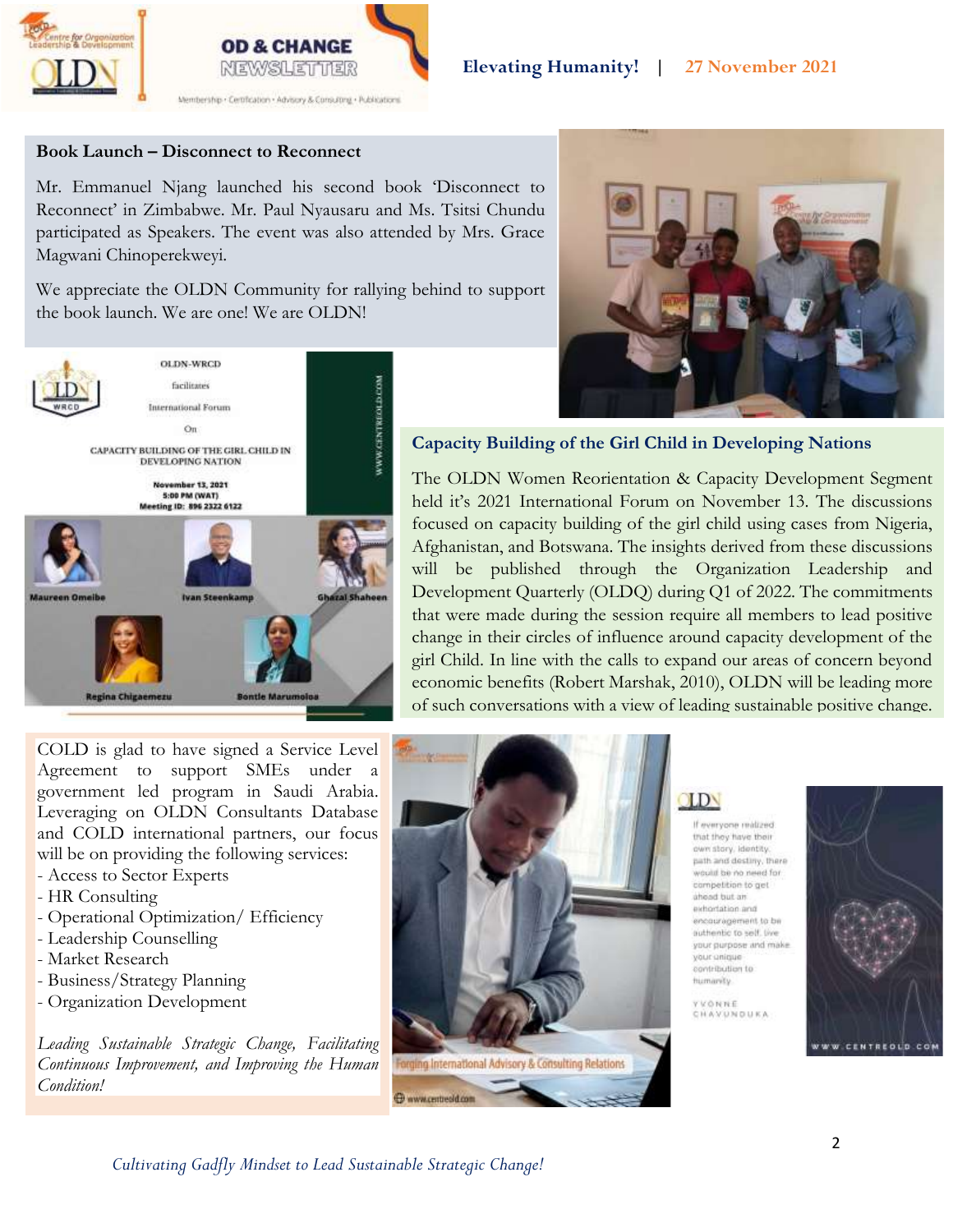



### **Book Launch – Disconnect to Reconnect**

Mr. Emmanuel Njang launched his second book 'Disconnect to Reconnect' in Zimbabwe. Mr. Paul Nyausaru and Ms. Tsitsi Chundu participated as Speakers. The event was also attended by Mrs. Grace Magwani Chinoperekweyi.

We appreciate the OLDN Community for rallying behind to support the book launch. We are one! We are OLDN!



## **Capacity Building of the Girl Child in Developing Nations**

The OLDN Women Reorientation & Capacity Development Segment held it's 2021 International Forum on November 13. The discussions focused on capacity building of the girl child using cases from Nigeria, Afghanistan, and Botswana. The insights derived from these discussions will be published through the Organization Leadership and Development Quarterly (OLDQ) during Q1 of 2022. The commitments that were made during the session require all members to lead positive change in their circles of influence around capacity development of the girl Child. In line with the calls to expand our areas of concern beyond economic benefits (Robert Marshak, 2010), OLDN will be leading more of such conversations with a view of leading sustainable positive change.

COLD is glad to have signed a Service Level Agreement to support SMEs under a government led program in Saudi Arabia. Leveraging on OLDN Consultants Database and COLD international partners, our focus will be on providing the following services:

- Access to Sector Experts
- HR Consulting
- Operational Optimization/ Efficiency
- Leadership Counselling
- Market Research
- Business/Strategy Planning
- Organization Development

*Leading Sustainable Strategic Change, Facilitating Continuous Improvement, and Improving the Human Condition!*



# OLDN

If everyone realized that they have their own story, identity. path and destiny, there would be no need for competition to get ahoad but an exhortation and encouragement to be authentic to self. live your purpose and make your anique contribution to hizmarvity.

**YVONNE** CHAVUNDUKA